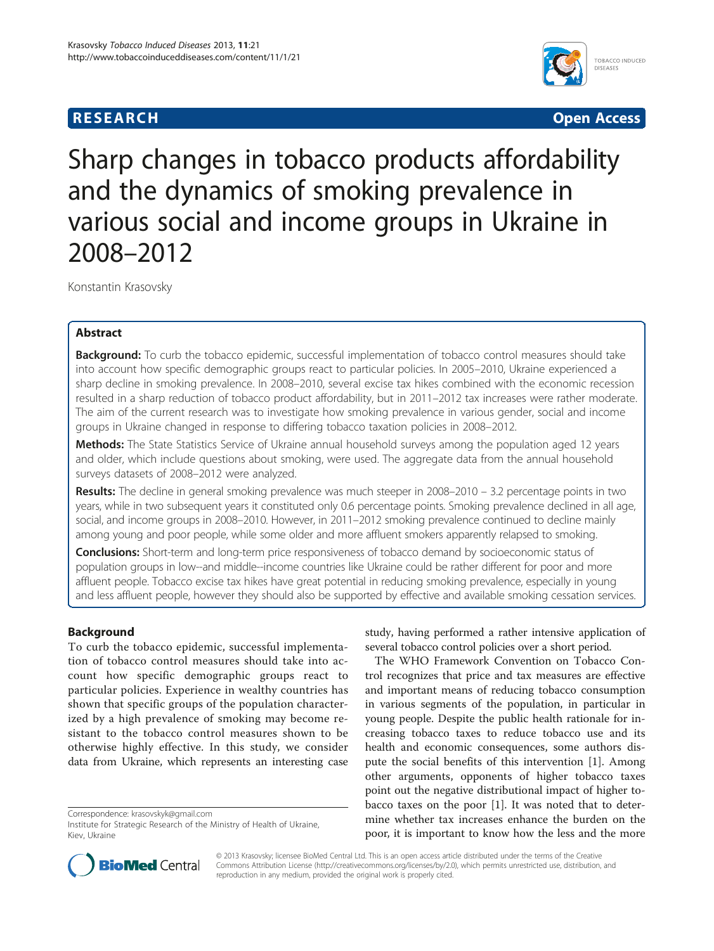# **RESEARCH CHINESE ARCH CHINESE ARCH CHINESE ARCH <b>CHINESE ARCH**



Sharp changes in tobacco products affordability and the dynamics of smoking prevalence in various social and income groups in Ukraine in 2008–2012

Konstantin Krasovsky

# Abstract

**Background:** To curb the tobacco epidemic, successful implementation of tobacco control measures should take into account how specific demographic groups react to particular policies. In 2005–2010, Ukraine experienced a sharp decline in smoking prevalence. In 2008–2010, several excise tax hikes combined with the economic recession resulted in a sharp reduction of tobacco product affordability, but in 2011–2012 tax increases were rather moderate. The aim of the current research was to investigate how smoking prevalence in various gender, social and income groups in Ukraine changed in response to differing tobacco taxation policies in 2008–2012.

Methods: The State Statistics Service of Ukraine annual household surveys among the population aged 12 years and older, which include questions about smoking, were used. The aggregate data from the annual household surveys datasets of 2008–2012 were analyzed.

Results: The decline in general smoking prevalence was much steeper in 2008–2010 – 3.2 percentage points in two years, while in two subsequent years it constituted only 0.6 percentage points. Smoking prevalence declined in all age, social, and income groups in 2008–2010. However, in 2011–2012 smoking prevalence continued to decline mainly among young and poor people, while some older and more affluent smokers apparently relapsed to smoking.

**Conclusions:** Short-term and long-term price responsiveness of tobacco demand by socioeconomic status of population groups in low--and middle--income countries like Ukraine could be rather different for poor and more affluent people. Tobacco excise tax hikes have great potential in reducing smoking prevalence, especially in young and less affluent people, however they should also be supported by effective and available smoking cessation services.

# Background

To curb the tobacco epidemic, successful implementation of tobacco control measures should take into account how specific demographic groups react to particular policies. Experience in wealthy countries has shown that specific groups of the population characterized by a high prevalence of smoking may become resistant to the tobacco control measures shown to be otherwise highly effective. In this study, we consider data from Ukraine, which represents an interesting case

Correspondence: [krasovskyk@gmail.com](mailto:krasovskyk@gmail.com)

study, having performed a rather intensive application of several tobacco control policies over a short period.

The WHO Framework Convention on Tobacco Control recognizes that price and tax measures are effective and important means of reducing tobacco consumption in various segments of the population, in particular in young people. Despite the public health rationale for increasing tobacco taxes to reduce tobacco use and its health and economic consequences, some authors dispute the social benefits of this intervention [\[1\]](#page-5-0). Among other arguments, opponents of higher tobacco taxes point out the negative distributional impact of higher tobacco taxes on the poor [[1\]](#page-5-0). It was noted that to determine whether tax increases enhance the burden on the poor, it is important to know how the less and the more



© 2013 Krasovsky; licensee BioMed Central Ltd. This is an open access article distributed under the terms of the Creative Commons Attribution License [\(http://creativecommons.org/licenses/by/2.0\)](http://creativecommons.org/licenses/by/2.0), which permits unrestricted use, distribution, and reproduction in any medium, provided the original work is properly cited.

Institute for Strategic Research of the Ministry of Health of Ukraine, Kiev, Ukraine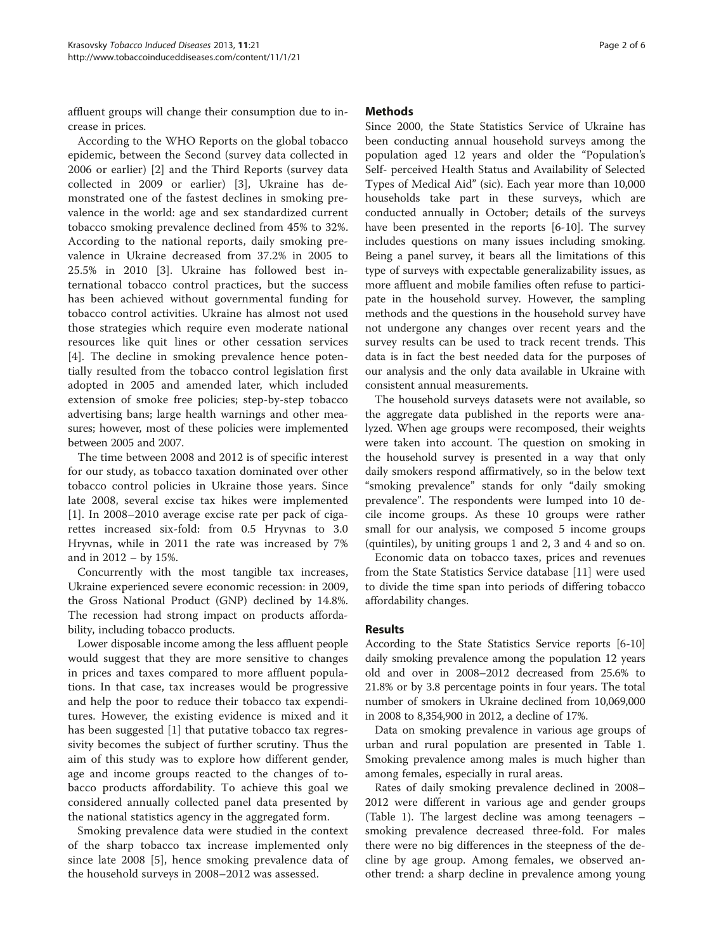affluent groups will change their consumption due to increase in prices.

According to the WHO Reports on the global tobacco epidemic, between the Second (survey data collected in 2006 or earlier) [\[2](#page-5-0)] and the Third Reports (survey data collected in 2009 or earlier) [[3\]](#page-5-0), Ukraine has demonstrated one of the fastest declines in smoking prevalence in the world: age and sex standardized current tobacco smoking prevalence declined from 45% to 32%. According to the national reports, daily smoking prevalence in Ukraine decreased from 37.2% in 2005 to 25.5% in 2010 [[3\]](#page-5-0). Ukraine has followed best international tobacco control practices, but the success has been achieved without governmental funding for tobacco control activities. Ukraine has almost not used those strategies which require even moderate national resources like quit lines or other cessation services [[4\]](#page-5-0). The decline in smoking prevalence hence potentially resulted from the tobacco control legislation first adopted in 2005 and amended later, which included extension of smoke free policies; step-by-step tobacco advertising bans; large health warnings and other measures; however, most of these policies were implemented between 2005 and 2007.

The time between 2008 and 2012 is of specific interest for our study, as tobacco taxation dominated over other tobacco control policies in Ukraine those years. Since late 2008, several excise tax hikes were implemented [[1\]](#page-5-0). In 2008–2010 average excise rate per pack of cigarettes increased six-fold: from 0.5 Hryvnas to 3.0 Hryvnas, while in 2011 the rate was increased by 7% and in 2012 – by 15%.

Concurrently with the most tangible tax increases, Ukraine experienced severe economic recession: in 2009, the Gross National Product (GNP) declined by 14.8%. The recession had strong impact on products affordability, including tobacco products.

Lower disposable income among the less affluent people would suggest that they are more sensitive to changes in prices and taxes compared to more affluent populations. In that case, tax increases would be progressive and help the poor to reduce their tobacco tax expenditures. However, the existing evidence is mixed and it has been suggested [[1](#page-5-0)] that putative tobacco tax regressivity becomes the subject of further scrutiny. Thus the aim of this study was to explore how different gender, age and income groups reacted to the changes of tobacco products affordability. To achieve this goal we considered annually collected panel data presented by the national statistics agency in the aggregated form.

Smoking prevalence data were studied in the context of the sharp tobacco tax increase implemented only since late 2008 [[5\]](#page-5-0), hence smoking prevalence data of the household surveys in 2008–2012 was assessed.

## Methods

Since 2000, the State Statistics Service of Ukraine has been conducting annual household surveys among the population aged 12 years and older the "Population's Self- perceived Health Status and Availability of Selected Types of Medical Aid" (sic). Each year more than 10,000 households take part in these surveys, which are conducted annually in October; details of the surveys have been presented in the reports [\[6](#page-5-0)-[10](#page-5-0)]. The survey includes questions on many issues including smoking. Being a panel survey, it bears all the limitations of this type of surveys with expectable generalizability issues, as more affluent and mobile families often refuse to participate in the household survey. However, the sampling methods and the questions in the household survey have not undergone any changes over recent years and the survey results can be used to track recent trends. This data is in fact the best needed data for the purposes of our analysis and the only data available in Ukraine with consistent annual measurements.

The household surveys datasets were not available, so the aggregate data published in the reports were analyzed. When age groups were recomposed, their weights were taken into account. The question on smoking in the household survey is presented in a way that only daily smokers respond affirmatively, so in the below text "smoking prevalence" stands for only "daily smoking prevalence". The respondents were lumped into 10 decile income groups. As these 10 groups were rather small for our analysis, we composed 5 income groups (quintiles), by uniting groups 1 and 2, 3 and 4 and so on.

Economic data on tobacco taxes, prices and revenues from the State Statistics Service database [[11\]](#page-5-0) were used to divide the time span into periods of differing tobacco affordability changes.

# Results

According to the State Statistics Service reports [\[6](#page-5-0)-[10](#page-5-0)] daily smoking prevalence among the population 12 years old and over in 2008–2012 decreased from 25.6% to 21.8% or by 3.8 percentage points in four years. The total number of smokers in Ukraine declined from 10,069,000 in 2008 to 8,354,900 in 2012, a decline of 17%.

Data on smoking prevalence in various age groups of urban and rural population are presented in Table [1](#page-2-0). Smoking prevalence among males is much higher than among females, especially in rural areas.

Rates of daily smoking prevalence declined in 2008– 2012 were different in various age and gender groups (Table [1\)](#page-2-0). The largest decline was among teenagers – smoking prevalence decreased three-fold. For males there were no big differences in the steepness of the decline by age group. Among females, we observed another trend: a sharp decline in prevalence among young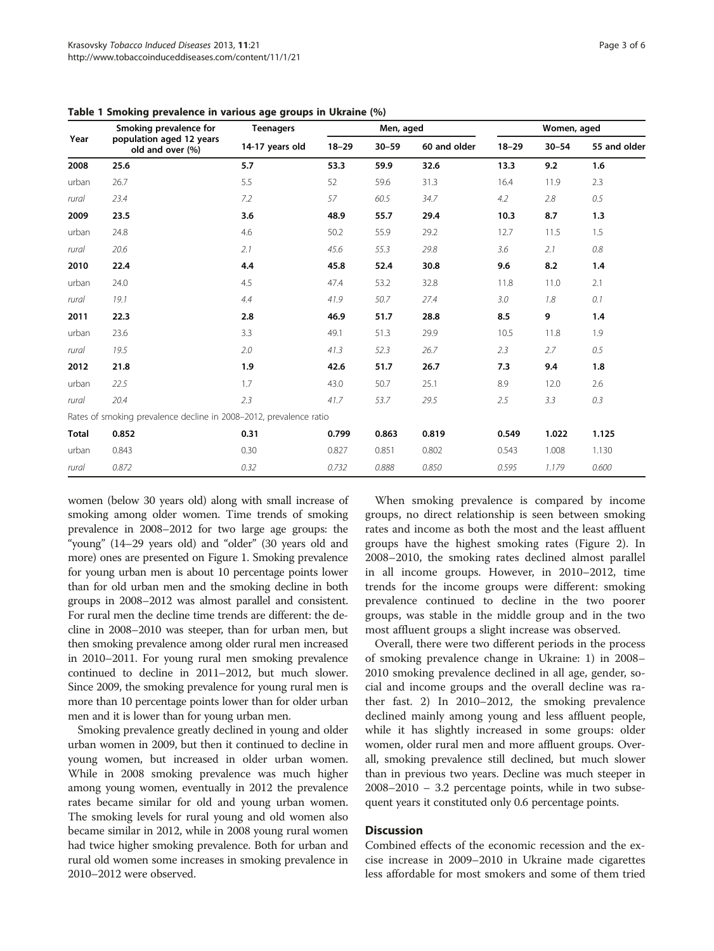| Year         | - -<br>Smoking prevalence for<br>population aged 12 years<br>old and over (%) | <b>Teenagers</b><br>14-17 years old | Men, aged |           |              | Women, aged |           |              |
|--------------|-------------------------------------------------------------------------------|-------------------------------------|-----------|-----------|--------------|-------------|-----------|--------------|
|              |                                                                               |                                     | $18 - 29$ | $30 - 59$ | 60 and older | $18 - 29$   | $30 - 54$ | 55 and older |
| 2008         | 25.6                                                                          | 5.7                                 | 53.3      | 59.9      | 32.6         | 13.3        | 9.2       | 1.6          |
| urban        | 26.7                                                                          | 5.5                                 | 52        | 59.6      | 31.3         | 16.4        | 11.9      | 2.3          |
| rural        | 23.4                                                                          | 7.2                                 | 57        | 60.5      | 34.7         | 4.2         | 2.8       | 0.5          |
| 2009         | 23.5                                                                          | 3.6                                 | 48.9      | 55.7      | 29.4         | 10.3        | 8.7       | 1.3          |
| urban        | 24.8                                                                          | 4.6                                 | 50.2      | 55.9      | 29.2         | 12.7        | 11.5      | 1.5          |
| rural        | 20.6                                                                          | 2.1                                 | 45.6      | 55.3      | 29.8         | 3.6         | 2.1       | $0.8\,$      |
| 2010         | 22.4                                                                          | 4.4                                 | 45.8      | 52.4      | 30.8         | 9.6         | 8.2       | 1.4          |
| urban        | 24.0                                                                          | 4.5                                 | 47.4      | 53.2      | 32.8         | 11.8        | 11.0      | 2.1          |
| rural        | 19.1                                                                          | 4.4                                 | 41.9      | 50.7      | 27.4         | 3.0         | 1.8       | 0.1          |
| 2011         | 22.3                                                                          | 2.8                                 | 46.9      | 51.7      | 28.8         | 8.5         | 9         | 1.4          |
| urban        | 23.6                                                                          | 3.3                                 | 49.1      | 51.3      | 29.9         | 10.5        | 11.8      | 1.9          |
| rural        | 19.5                                                                          | 2.0                                 | 41.3      | 52.3      | 26.7         | 2.3         | 2.7       | 0.5          |
| 2012         | 21.8                                                                          | 1.9                                 | 42.6      | 51.7      | 26.7         | 7.3         | 9.4       | 1.8          |
| urban        | 22.5                                                                          | 1.7                                 | 43.0      | 50.7      | 25.1         | 8.9         | 12.0      | 2.6          |
| rural        | 20.4                                                                          | 2.3                                 | 41.7      | 53.7      | 29.5         | 2.5         | 3.3       | 0.3          |
|              | Rates of smoking prevalence decline in 2008-2012, prevalence ratio            |                                     |           |           |              |             |           |              |
| <b>Total</b> | 0.852                                                                         | 0.31                                | 0.799     | 0.863     | 0.819        | 0.549       | 1.022     | 1.125        |
| urban        | 0.843                                                                         | 0.30                                | 0.827     | 0.851     | 0.802        | 0.543       | 1.008     | 1.130        |
| rural        | 0.872                                                                         | 0.32                                | 0.732     | 0.888     | 0.850        | 0.595       | 1.179     | 0.600        |

<span id="page-2-0"></span>Table 1 Smoking prevalence in various age groups in Ukraine (%)

women (below 30 years old) along with small increase of smoking among older women. Time trends of smoking prevalence in 2008–2012 for two large age groups: the "young" (14–29 years old) and "older" (30 years old and more) ones are presented on Figure [1.](#page-3-0) Smoking prevalence for young urban men is about 10 percentage points lower than for old urban men and the smoking decline in both groups in 2008–2012 was almost parallel and consistent. For rural men the decline time trends are different: the decline in 2008–2010 was steeper, than for urban men, but then smoking prevalence among older rural men increased in 2010–2011. For young rural men smoking prevalence continued to decline in 2011–2012, but much slower. Since 2009, the smoking prevalence for young rural men is more than 10 percentage points lower than for older urban men and it is lower than for young urban men.

Smoking prevalence greatly declined in young and older urban women in 2009, but then it continued to decline in young women, but increased in older urban women. While in 2008 smoking prevalence was much higher among young women, eventually in 2012 the prevalence rates became similar for old and young urban women. The smoking levels for rural young and old women also became similar in 2012, while in 2008 young rural women had twice higher smoking prevalence. Both for urban and rural old women some increases in smoking prevalence in 2010–2012 were observed.

When smoking prevalence is compared by income groups, no direct relationship is seen between smoking rates and income as both the most and the least affluent groups have the highest smoking rates (Figure [2](#page-3-0)). In 2008–2010, the smoking rates declined almost parallel in all income groups. However, in 2010–2012, time trends for the income groups were different: smoking prevalence continued to decline in the two poorer groups, was stable in the middle group and in the two most affluent groups a slight increase was observed.

Overall, there were two different periods in the process of smoking prevalence change in Ukraine: 1) in 2008– 2010 smoking prevalence declined in all age, gender, social and income groups and the overall decline was rather fast. 2) In 2010–2012, the smoking prevalence declined mainly among young and less affluent people, while it has slightly increased in some groups: older women, older rural men and more affluent groups. Overall, smoking prevalence still declined, but much slower than in previous two years. Decline was much steeper in 2008–2010 – 3.2 percentage points, while in two subsequent years it constituted only 0.6 percentage points.

# **Discussion**

Combined effects of the economic recession and the excise increase in 2009–2010 in Ukraine made cigarettes less affordable for most smokers and some of them tried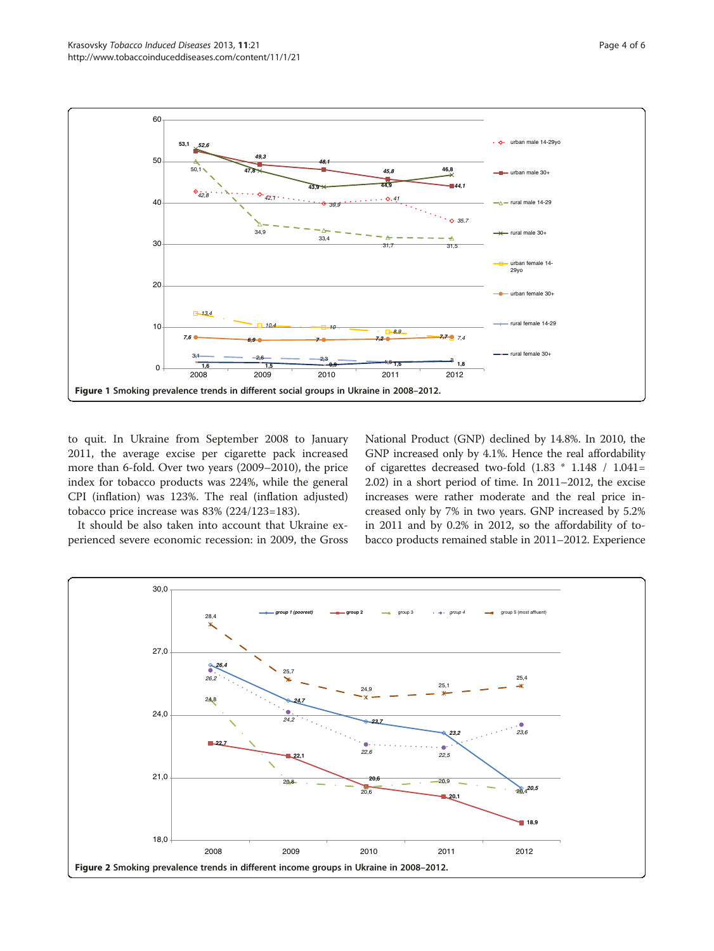<span id="page-3-0"></span>

to quit. In Ukraine from September 2008 to January 2011, the average excise per cigarette pack increased more than 6-fold. Over two years (2009–2010), the price index for tobacco products was 224%, while the general CPI (inflation) was 123%. The real (inflation adjusted) tobacco price increase was 83% (224/123=183).

It should be also taken into account that Ukraine experienced severe economic recession: in 2009, the Gross National Product (GNP) declined by 14.8%. In 2010, the GNP increased only by 4.1%. Hence the real affordability of cigarettes decreased two-fold (1.83 \* 1.148 / 1.041= 2.02) in a short period of time. In 2011–2012, the excise increases were rather moderate and the real price increased only by 7% in two years. GNP increased by 5.2% in 2011 and by 0.2% in 2012, so the affordability of tobacco products remained stable in 2011–2012. Experience

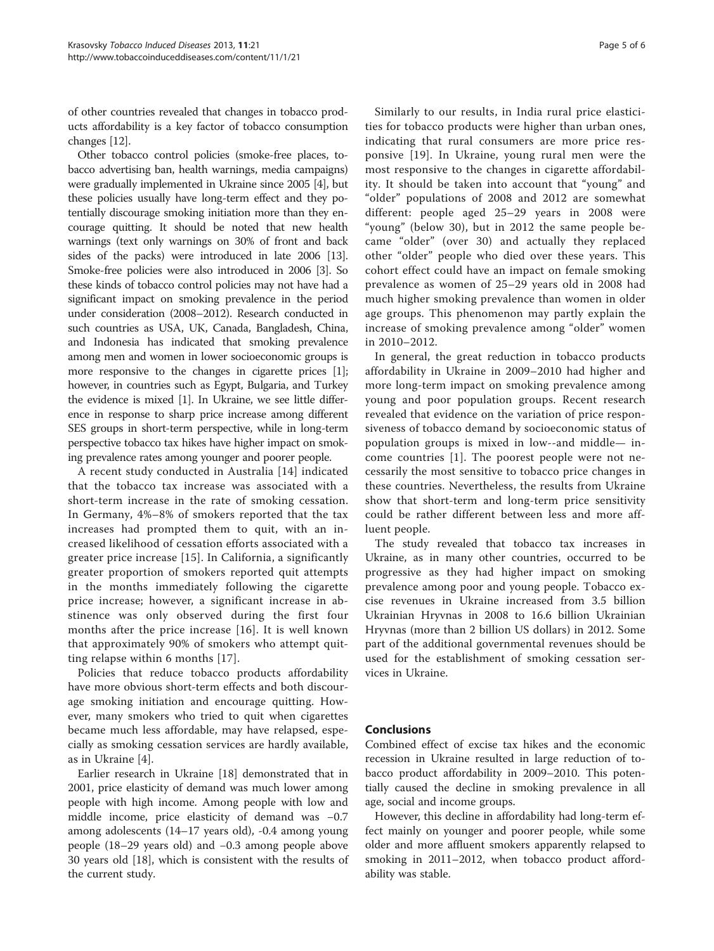of other countries revealed that changes in tobacco products affordability is a key factor of tobacco consumption changes [\[12\]](#page-5-0).

Other tobacco control policies (smoke-free places, tobacco advertising ban, health warnings, media campaigns) were gradually implemented in Ukraine since 2005 [[4](#page-5-0)], but these policies usually have long-term effect and they potentially discourage smoking initiation more than they encourage quitting. It should be noted that new health warnings (text only warnings on 30% of front and back sides of the packs) were introduced in late 2006 [[13](#page-5-0)]. Smoke-free policies were also introduced in 2006 [[3](#page-5-0)]. So these kinds of tobacco control policies may not have had a significant impact on smoking prevalence in the period under consideration (2008–2012). Research conducted in such countries as USA, UK, Canada, Bangladesh, China, and Indonesia has indicated that smoking prevalence among men and women in lower socioeconomic groups is more responsive to the changes in cigarette prices [[1](#page-5-0)]; however, in countries such as Egypt, Bulgaria, and Turkey the evidence is mixed [[1\]](#page-5-0). In Ukraine, we see little difference in response to sharp price increase among different SES groups in short-term perspective, while in long-term perspective tobacco tax hikes have higher impact on smoking prevalence rates among younger and poorer people.

A recent study conducted in Australia [[14](#page-5-0)] indicated that the tobacco tax increase was associated with a short-term increase in the rate of smoking cessation. In Germany, 4%–8% of smokers reported that the tax increases had prompted them to quit, with an increased likelihood of cessation efforts associated with a greater price increase [[15](#page-5-0)]. In California, a significantly greater proportion of smokers reported quit attempts in the months immediately following the cigarette price increase; however, a significant increase in abstinence was only observed during the first four months after the price increase [[16](#page-5-0)]. It is well known that approximately 90% of smokers who attempt quitting relapse within 6 months [\[17\]](#page-5-0).

Policies that reduce tobacco products affordability have more obvious short-term effects and both discourage smoking initiation and encourage quitting. However, many smokers who tried to quit when cigarettes became much less affordable, may have relapsed, especially as smoking cessation services are hardly available, as in Ukraine [[4\]](#page-5-0).

Earlier research in Ukraine [\[18](#page-5-0)] demonstrated that in 2001, price elasticity of demand was much lower among people with high income. Among people with low and middle income, price elasticity of demand was −0.7 among adolescents (14–17 years old), -0.4 among young people (18–29 years old) and −0.3 among people above 30 years old [[18](#page-5-0)], which is consistent with the results of the current study.

Similarly to our results, in India rural price elasticities for tobacco products were higher than urban ones, indicating that rural consumers are more price responsive [\[19](#page-5-0)]. In Ukraine, young rural men were the most responsive to the changes in cigarette affordability. It should be taken into account that "young" and "older" populations of 2008 and 2012 are somewhat different: people aged 25–29 years in 2008 were "young" (below 30), but in 2012 the same people became "older" (over 30) and actually they replaced other "older" people who died over these years. This cohort effect could have an impact on female smoking prevalence as women of 25–29 years old in 2008 had much higher smoking prevalence than women in older age groups. This phenomenon may partly explain the increase of smoking prevalence among "older" women in 2010–2012.

In general, the great reduction in tobacco products affordability in Ukraine in 2009–2010 had higher and more long-term impact on smoking prevalence among young and poor population groups. Recent research revealed that evidence on the variation of price responsiveness of tobacco demand by socioeconomic status of population groups is mixed in low--and middle— income countries [[1\]](#page-5-0). The poorest people were not necessarily the most sensitive to tobacco price changes in these countries. Nevertheless, the results from Ukraine show that short-term and long-term price sensitivity could be rather different between less and more affluent people.

The study revealed that tobacco tax increases in Ukraine, as in many other countries, occurred to be progressive as they had higher impact on smoking prevalence among poor and young people. Tobacco excise revenues in Ukraine increased from 3.5 billion Ukrainian Hryvnas in 2008 to 16.6 billion Ukrainian Hryvnas (more than 2 billion US dollars) in 2012. Some part of the additional governmental revenues should be used for the establishment of smoking cessation services in Ukraine.

# Conclusions

Combined effect of excise tax hikes and the economic recession in Ukraine resulted in large reduction of tobacco product affordability in 2009–2010. This potentially caused the decline in smoking prevalence in all age, social and income groups.

However, this decline in affordability had long-term effect mainly on younger and poorer people, while some older and more affluent smokers apparently relapsed to smoking in 2011–2012, when tobacco product affordability was stable.